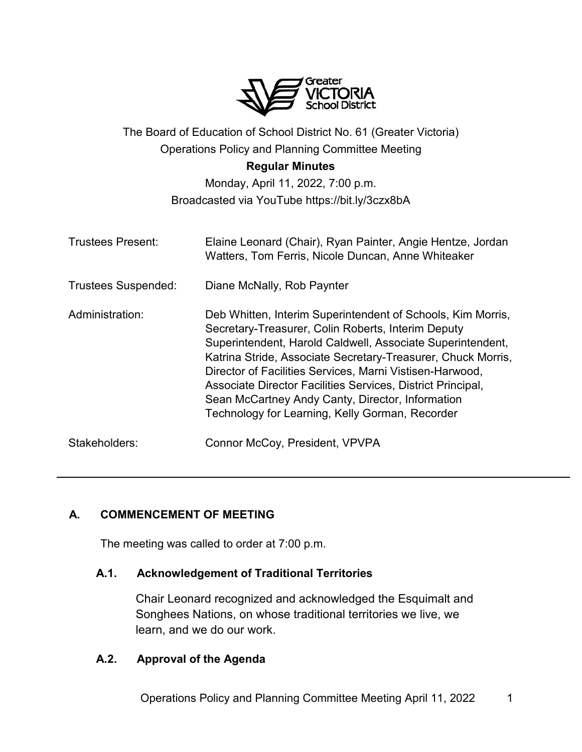

# The Board of Education of School District No. 61 (Greater Victoria) Operations Policy and Planning Committee Meeting

#### **Regular Minutes**

# Monday, April 11, 2022, 7:00 p.m. Broadcasted via YouTube https://bit.ly/3czx8bA

| <b>Trustees Present:</b>   | Elaine Leonard (Chair), Ryan Painter, Angie Hentze, Jordan<br>Watters, Tom Ferris, Nicole Duncan, Anne Whiteaker                                                                                                                                                                                                                                                                                                                                                                  |
|----------------------------|-----------------------------------------------------------------------------------------------------------------------------------------------------------------------------------------------------------------------------------------------------------------------------------------------------------------------------------------------------------------------------------------------------------------------------------------------------------------------------------|
| <b>Trustees Suspended:</b> | Diane McNally, Rob Paynter                                                                                                                                                                                                                                                                                                                                                                                                                                                        |
| Administration:            | Deb Whitten, Interim Superintendent of Schools, Kim Morris,<br>Secretary-Treasurer, Colin Roberts, Interim Deputy<br>Superintendent, Harold Caldwell, Associate Superintendent,<br>Katrina Stride, Associate Secretary-Treasurer, Chuck Morris,<br>Director of Facilities Services, Marni Vistisen-Harwood,<br>Associate Director Facilities Services, District Principal,<br>Sean McCartney Andy Canty, Director, Information<br>Technology for Learning, Kelly Gorman, Recorder |
| Stakeholders:              | Connor McCoy, President, VPVPA                                                                                                                                                                                                                                                                                                                                                                                                                                                    |

# **A. COMMENCEMENT OF MEETING**

The meeting was called to order at 7:00 p.m.

## **A.1. Acknowledgement of Traditional Territories**

Chair Leonard recognized and acknowledged the Esquimalt and Songhees Nations, on whose traditional territories we live, we learn, and we do our work.

## **A.2. Approval of the Agenda**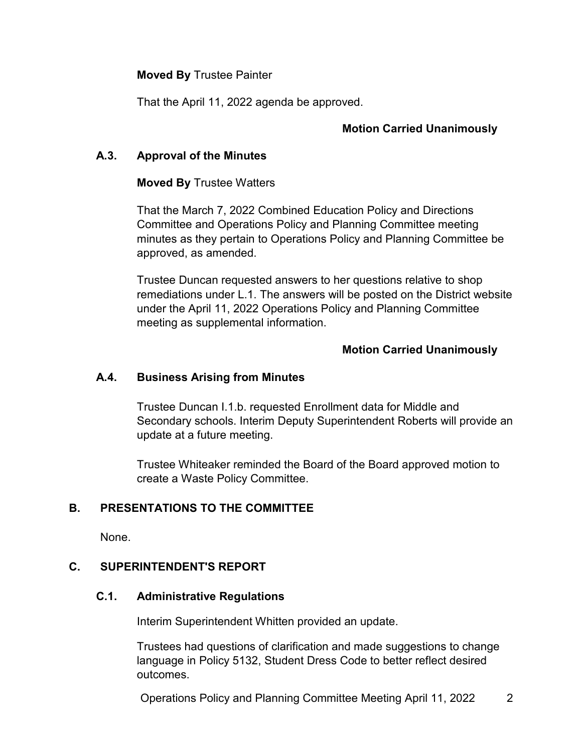#### **Moved By** Trustee Painter

That the April 11, 2022 agenda be approved.

## **Motion Carried Unanimously**

#### **A.3. Approval of the Minutes**

#### **Moved By** Trustee Watters

That the March 7, 2022 Combined Education Policy and Directions Committee and Operations Policy and Planning Committee meeting minutes as they pertain to Operations Policy and Planning Committee be approved, as amended.

Trustee Duncan requested answers to her questions relative to shop remediations under L.1. The answers will be posted on the District website under the April 11, 2022 Operations Policy and Planning Committee meeting as supplemental information.

#### **Motion Carried Unanimously**

#### **A.4. Business Arising from Minutes**

Trustee Duncan I.1.b. requested Enrollment data for Middle and Secondary schools. Interim Deputy Superintendent Roberts will provide an update at a future meeting.

Trustee Whiteaker reminded the Board of the Board approved motion to create a Waste Policy Committee.

## **B. PRESENTATIONS TO THE COMMITTEE**

None.

#### **C. SUPERINTENDENT'S REPORT**

#### **C.1. Administrative Regulations**

Interim Superintendent Whitten provided an update.

Trustees had questions of clarification and made suggestions to change language in Policy 5132, Student Dress Code to better reflect desired outcomes.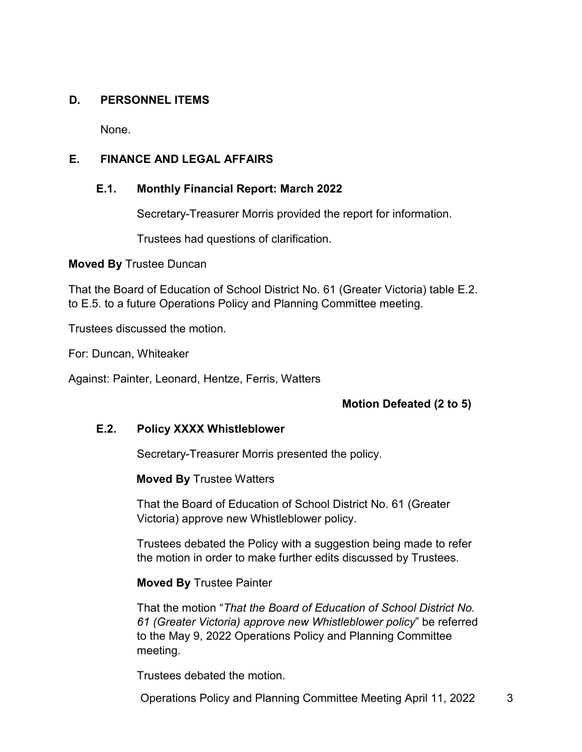#### **D. PERSONNEL ITEMS**

None.

# **E. FINANCE AND LEGAL AFFAIRS**

## **E.1. Monthly Financial Report: March 2022**

Secretary-Treasurer Morris provided the report for information.

Trustees had questions of clarification.

**Moved By** Trustee Duncan

That the Board of Education of School District No. 61 (Greater Victoria) table E.2. to E.5. to a future Operations Policy and Planning Committee meeting.

Trustees discussed the motion.

For: Duncan, Whiteaker

Against: Painter, Leonard, Hentze, Ferris, Watters

## **Motion Defeated (2 to 5)**

## **E.2. Policy XXXX Whistleblower**

Secretary-Treasurer Morris presented the policy.

**Moved By** Trustee Watters

That the Board of Education of School District No. 61 (Greater Victoria) approve new Whistleblower policy.

Trustees debated the Policy with a suggestion being made to refer the motion in order to make further edits discussed by Trustees.

#### **Moved By** Trustee Painter

That the motion "*That the Board of Education of School District No. 61 (Greater Victoria) approve new Whistleblower policy*" be referred to the May 9, 2022 Operations Policy and Planning Committee meeting.

Trustees debated the motion.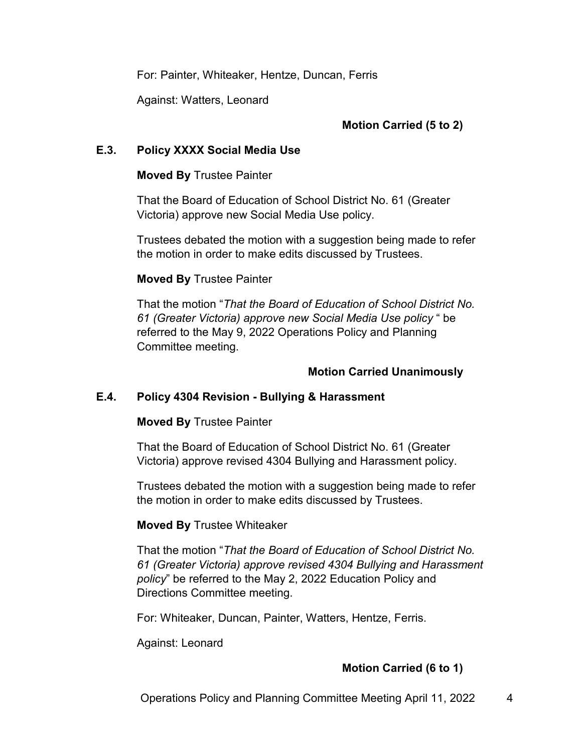For: Painter, Whiteaker, Hentze, Duncan, Ferris

Against: Watters, Leonard

# **Motion Carried (5 to 2)**

#### **E.3. Policy XXXX Social Media Use**

#### **Moved By** Trustee Painter

That the Board of Education of School District No. 61 (Greater Victoria) approve new Social Media Use policy.

Trustees debated the motion with a suggestion being made to refer the motion in order to make edits discussed by Trustees.

#### **Moved By** Trustee Painter

That the motion "*That the Board of Education of School District No. 61 (Greater Victoria) approve new Social Media Use policy* " be referred to the May 9, 2022 Operations Policy and Planning Committee meeting.

## **Motion Carried Unanimously**

## **E.4. Policy 4304 Revision - Bullying & Harassment**

#### **Moved By** Trustee Painter

That the Board of Education of School District No. 61 (Greater Victoria) approve revised 4304 Bullying and Harassment policy.

Trustees debated the motion with a suggestion being made to refer the motion in order to make edits discussed by Trustees.

#### **Moved By** Trustee Whiteaker

That the motion "*That the Board of Education of School District No. 61 (Greater Victoria) approve revised 4304 Bullying and Harassment policy*" be referred to the May 2, 2022 Education Policy and Directions Committee meeting.

For: Whiteaker, Duncan, Painter, Watters, Hentze, Ferris.

Against: Leonard

# **Motion Carried (6 to 1)**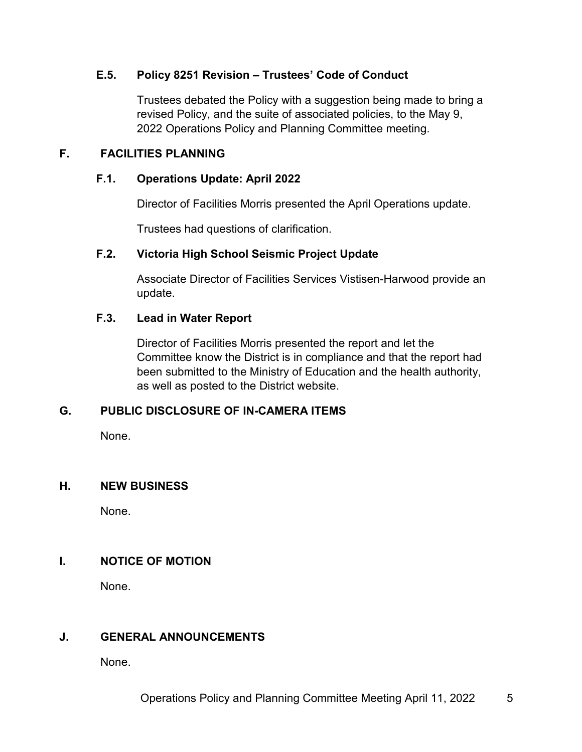## **E.5. Policy 8251 Revision – Trustees' Code of Conduct**

Trustees debated the Policy with a suggestion being made to bring a revised Policy, and the suite of associated policies, to the May 9, 2022 Operations Policy and Planning Committee meeting.

# **F. FACILITIES PLANNING**

## **F.1. Operations Update: April 2022**

Director of Facilities Morris presented the April Operations update.

Trustees had questions of clarification.

## **F.2. Victoria High School Seismic Project Update**

Associate Director of Facilities Services Vistisen-Harwood provide an update.

## **F.3. Lead in Water Report**

Director of Facilities Morris presented the report and let the Committee know the District is in compliance and that the report had been submitted to the Ministry of Education and the health authority, as well as posted to the District website.

## **G. PUBLIC DISCLOSURE OF IN-CAMERA ITEMS**

None.

## **H. NEW BUSINESS**

None.

## **I. NOTICE OF MOTION**

None.

# **J. GENERAL ANNOUNCEMENTS**

None.